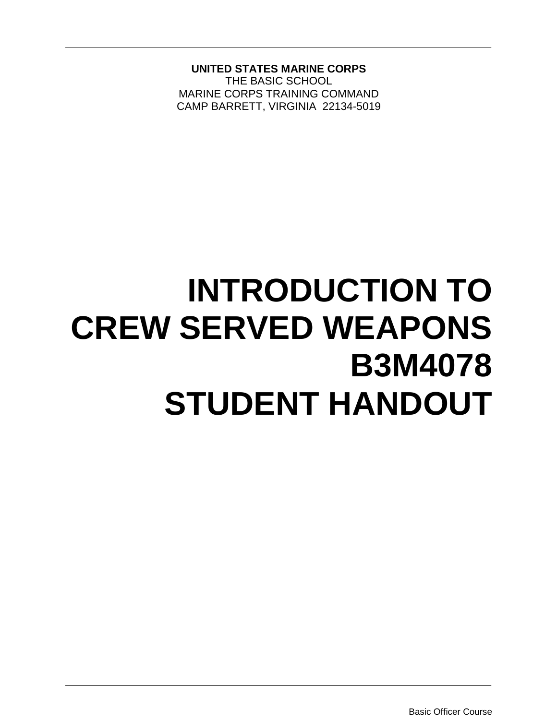**UNITED STATES MARINE CORPS**

THE BASIC SCHOOL MARINE CORPS TRAINING COMMAND CAMP BARRETT, VIRGINIA 22134-5019

# **INTRODUCTION TO CREW SERVED WEAPONS B3M4078 STUDENT HANDOUT**

Basic Officer Course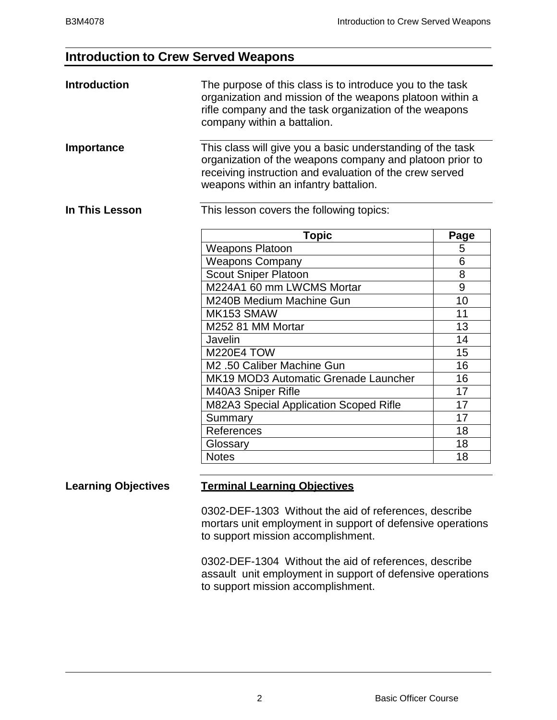# **Introduction to Crew Served Weapons**

| <b>Introduction</b> | The purpose of this class is to introduce you to the task<br>organization and mission of the weapons platoon within a<br>rifle company and the task organization of the weapons<br>company within a battalion.             |                 |  |
|---------------------|----------------------------------------------------------------------------------------------------------------------------------------------------------------------------------------------------------------------------|-----------------|--|
| Importance          | This class will give you a basic understanding of the task<br>organization of the weapons company and platoon prior to<br>receiving instruction and evaluation of the crew served<br>weapons within an infantry battalion. |                 |  |
| In This Lesson      | This lesson covers the following topics:                                                                                                                                                                                   |                 |  |
|                     | <b>Topic</b>                                                                                                                                                                                                               | Page            |  |
|                     | <b>Weapons Platoon</b>                                                                                                                                                                                                     | 5               |  |
|                     | <b>Weapons Company</b>                                                                                                                                                                                                     | 6               |  |
|                     | <b>Scout Sniper Platoon</b>                                                                                                                                                                                                | 8               |  |
|                     | M224A1 60 mm LWCMS Mortar                                                                                                                                                                                                  | 9               |  |
|                     | M240B Medium Machine Gun                                                                                                                                                                                                   | 10              |  |
|                     | MK153 SMAW                                                                                                                                                                                                                 | 11              |  |
|                     | M252 81 MM Mortar                                                                                                                                                                                                          | 13              |  |
|                     | Javelin                                                                                                                                                                                                                    | 14              |  |
|                     | <b>M220E4 TOW</b>                                                                                                                                                                                                          | 15              |  |
|                     | M2 .50 Caliber Machine Gun                                                                                                                                                                                                 | 16              |  |
|                     | MK19 MOD3 Automatic Grenade Launcher                                                                                                                                                                                       | 16              |  |
|                     | M40A3 Sniper Rifle                                                                                                                                                                                                         | 17              |  |
|                     | M82A3 Special Application Scoped Rifle                                                                                                                                                                                     | 17              |  |
|                     | Summary                                                                                                                                                                                                                    | $\overline{17}$ |  |
|                     | References                                                                                                                                                                                                                 | 18              |  |
|                     | Glossary                                                                                                                                                                                                                   | 18              |  |
|                     | <b>Notes</b>                                                                                                                                                                                                               | 18              |  |

#### **Learning Objectives Terminal Learning Objectives**

0302-DEF-1303 Without the aid of references, describe mortars unit employment in support of defensive operations to support mission accomplishment.

0302-DEF-1304 Without the aid of references, describe assault unit employment in support of defensive operations to support mission accomplishment.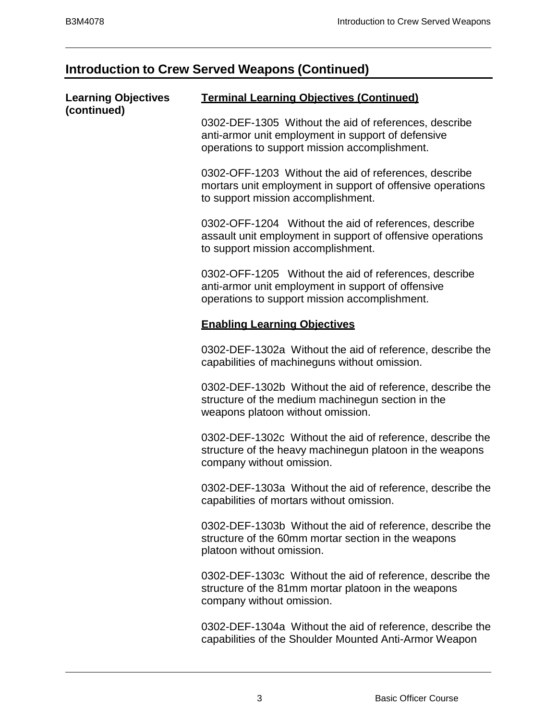# **Introduction to Crew Served Weapons (Continued)**

| <b>Learning Objectives</b> | <b>Terminal Learning Objectives (Continued)</b>                                                                                                              |  |  |
|----------------------------|--------------------------------------------------------------------------------------------------------------------------------------------------------------|--|--|
| (continued)                | 0302-DEF-1305 Without the aid of references, describe<br>anti-armor unit employment in support of defensive<br>operations to support mission accomplishment. |  |  |
|                            | 0302-OFF-1203 Without the aid of references, describe<br>mortars unit employment in support of offensive operations<br>to support mission accomplishment.    |  |  |
|                            | 0302-OFF-1204 Without the aid of references, describe<br>assault unit employment in support of offensive operations<br>to support mission accomplishment.    |  |  |
|                            | 0302-OFF-1205 Without the aid of references, describe<br>anti-armor unit employment in support of offensive<br>operations to support mission accomplishment. |  |  |
|                            | <b>Enabling Learning Objectives</b>                                                                                                                          |  |  |
|                            | 0302-DEF-1302a Without the aid of reference, describe the<br>capabilities of machineguns without omission.                                                   |  |  |
|                            | 0302-DEF-1302b Without the aid of reference, describe the<br>structure of the medium machinegun section in the<br>weapons platoon without omission.          |  |  |
|                            | 0302-DEF-1302c Without the aid of reference, describe the<br>structure of the heavy machinegun platoon in the weapons<br>company without omission.           |  |  |
|                            | 0302-DEF-1303a Without the aid of reference, describe the<br>capabilities of mortars without omission.                                                       |  |  |
|                            | 0302-DEF-1303b Without the aid of reference, describe the<br>structure of the 60mm mortar section in the weapons<br>platoon without omission.                |  |  |
|                            | 0302-DEF-1303c Without the aid of reference, describe the<br>structure of the 81mm mortar platoon in the weapons<br>company without omission.                |  |  |
|                            | 0302-DEF-1304a Without the aid of reference, describe the<br>capabilities of the Shoulder Mounted Anti-Armor Weapon                                          |  |  |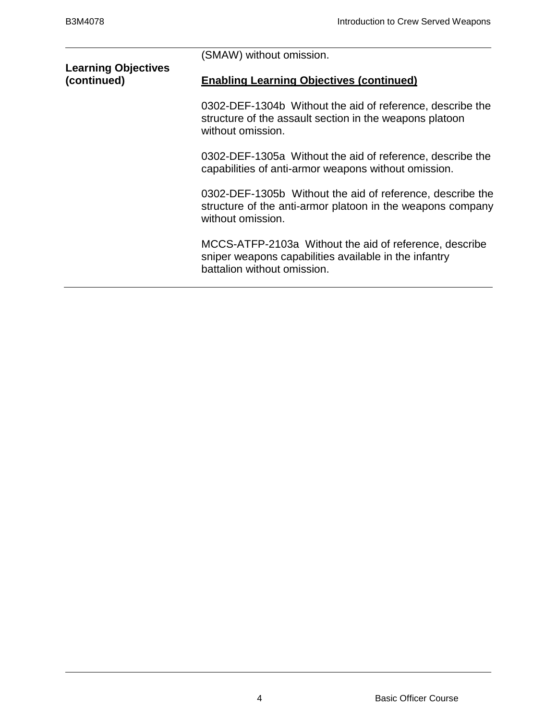|                                           | (SMAW) without omission.                                                                                                                       |  |  |
|-------------------------------------------|------------------------------------------------------------------------------------------------------------------------------------------------|--|--|
| <b>Learning Objectives</b><br>(continued) | <b>Enabling Learning Objectives (continued)</b>                                                                                                |  |  |
|                                           | 0302-DEF-1304b Without the aid of reference, describe the<br>structure of the assault section in the weapons platoon<br>without omission.      |  |  |
|                                           | 0302-DEF-1305a Without the aid of reference, describe the<br>capabilities of anti-armor weapons without omission.                              |  |  |
|                                           | 0302-DEF-1305b Without the aid of reference, describe the<br>structure of the anti-armor platoon in the weapons company<br>without omission.   |  |  |
|                                           | MCCS-ATFP-2103a Without the aid of reference, describe<br>sniper weapons capabilities available in the infantry<br>battalion without omission. |  |  |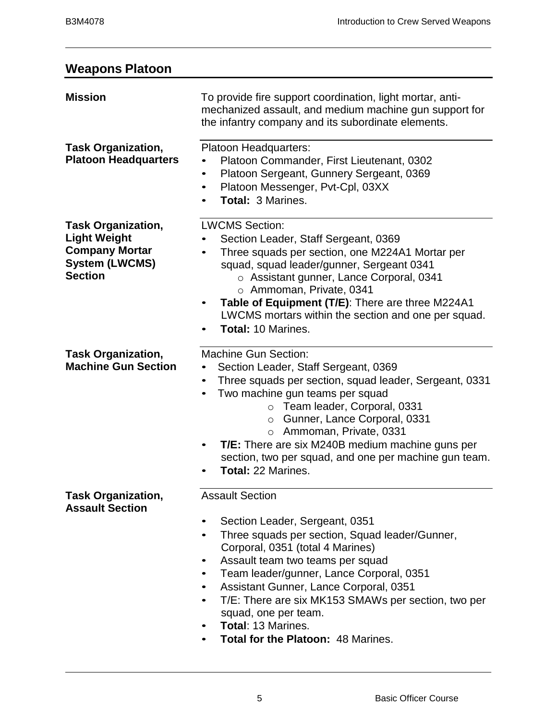# **Weapons Platoon**

| <b>Mission</b>                                                                                                       | To provide fire support coordination, light mortar, anti-<br>mechanized assault, and medium machine gun support for<br>the infantry company and its subordinate elements.                                                                                                                                                                                                                                                                                                                 |
|----------------------------------------------------------------------------------------------------------------------|-------------------------------------------------------------------------------------------------------------------------------------------------------------------------------------------------------------------------------------------------------------------------------------------------------------------------------------------------------------------------------------------------------------------------------------------------------------------------------------------|
| <b>Task Organization,</b><br><b>Platoon Headquarters</b>                                                             | Platoon Headquarters:<br>Platoon Commander, First Lieutenant, 0302<br>Platoon Sergeant, Gunnery Sergeant, 0369<br>٠<br>Platoon Messenger, Pvt-Cpl, 03XX<br><b>Total: 3 Marines.</b>                                                                                                                                                                                                                                                                                                       |
| <b>Task Organization,</b><br><b>Light Weight</b><br><b>Company Mortar</b><br><b>System (LWCMS)</b><br><b>Section</b> | <b>LWCMS Section:</b><br>Section Leader, Staff Sergeant, 0369<br>Three squads per section, one M224A1 Mortar per<br>squad, squad leader/gunner, Sergeant 0341<br>o Assistant gunner, Lance Corporal, 0341<br>o Ammoman, Private, 0341<br>Table of Equipment (T/E): There are three M224A1<br>LWCMS mortars within the section and one per squad.<br><b>Total: 10 Marines.</b>                                                                                                             |
| <b>Task Organization,</b><br><b>Machine Gun Section</b>                                                              | <b>Machine Gun Section:</b><br>Section Leader, Staff Sergeant, 0369<br>Three squads per section, squad leader, Sergeant, 0331<br>$\bullet$<br>Two machine gun teams per squad<br>$\bullet$<br>Team leader, Corporal, 0331<br>$\circ$<br>○ Gunner, Lance Corporal, 0331<br>o Ammoman, Private, 0331<br><b>T/E:</b> There are six M240B medium machine guns per<br>٠<br>section, two per squad, and one per machine gun team.<br><b>Total: 22 Marines.</b>                                  |
| <b>Task Organization,</b><br><b>Assault Section</b>                                                                  | <b>Assault Section</b><br>Section Leader, Sergeant, 0351<br>$\bullet$<br>Three squads per section, Squad leader/Gunner,<br>$\bullet$<br>Corporal, 0351 (total 4 Marines)<br>Assault team two teams per squad<br>٠<br>Team leader/gunner, Lance Corporal, 0351<br>$\bullet$<br>Assistant Gunner, Lance Corporal, 0351<br>$\bullet$<br>T/E: There are six MK153 SMAWs per section, two per<br>$\bullet$<br>squad, one per team.<br>Total: 13 Marines.<br>Total for the Platoon: 48 Marines. |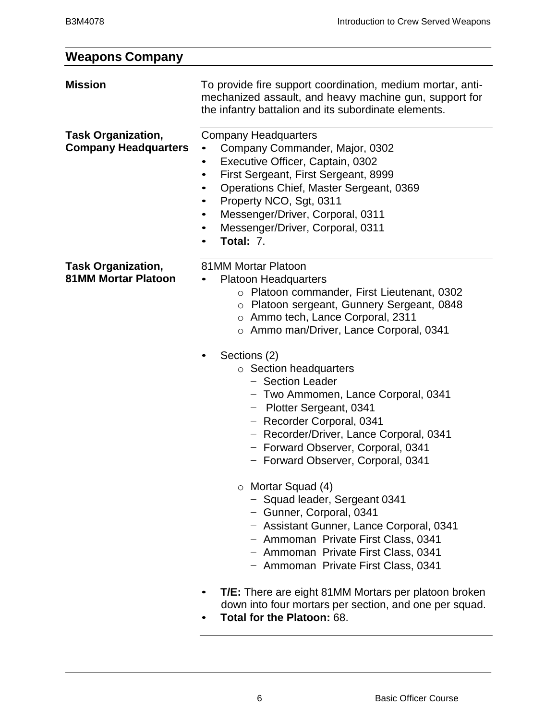### **Weapons Company Mission** To provide fire support coordination, medium mortar, antimechanized assault, and heavy machine gun, support for the infantry battalion and its subordinate elements. **Task Organization, Company Headquarters** Company Headquarters • Company Commander, Major, 0302 • Executive Officer, Captain, 0302 • First Sergeant, First Sergeant, 8999 • Operations Chief, Master Sergeant, 0369 • Property NCO, Sgt, 0311 • Messenger/Driver, Corporal, 0311 • Messenger/Driver, Corporal, 0311 • **Total:** 7. **Task Organization, 81MM Mortar Platoon** 81MM Mortar Platoon • Platoon Headquarters o Platoon commander, First Lieutenant, 0302 o Platoon sergeant, Gunnery Sergeant, 0848 o Ammo tech, Lance Corporal, 2311 o Ammo man/Driver, Lance Corporal, 0341 Sections (2) o Section headquarters − Section Leader − Two Ammomen, Lance Corporal, 0341 − Plotter Sergeant, 0341 − Recorder Corporal, 0341 − Recorder/Driver, Lance Corporal, 0341 − Forward Observer, Corporal, 0341 − Forward Observer, Corporal, 0341 o Mortar Squad (4) − Squad leader, Sergeant 0341 − Gunner, Corporal, 0341 − Assistant Gunner, Lance Corporal, 0341 − Ammoman Private First Class, 0341 − Ammoman Private First Class, 0341 − Ammoman Private First Class, 0341 • **T/E:** There are eight 81MM Mortars per platoon broken down into four mortars per section, and one per squad. • **Total for the Platoon:** 68.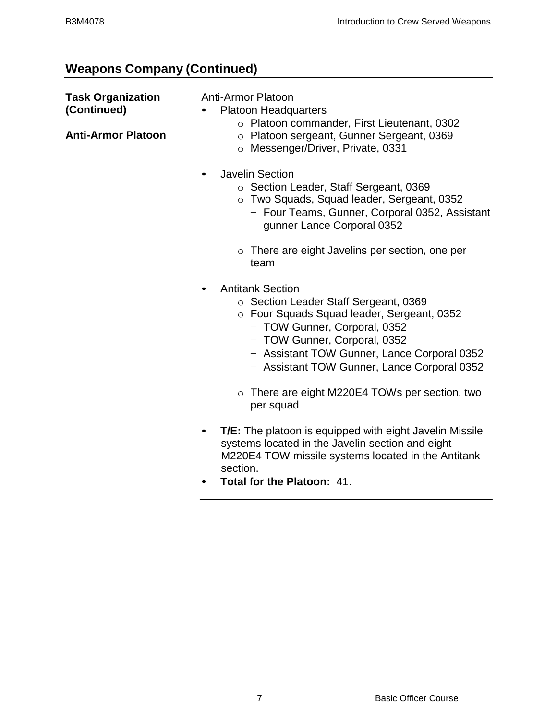# **Weapons Company (Continued)**

| <b>Task Organization</b><br>(Continued)<br><b>Anti-Armor Platoon</b> |           | <b>Anti-Armor Platoon</b><br><b>Platoon Headquarters</b><br>o Platoon commander, First Lieutenant, 0302<br>o Platoon sergeant, Gunner Sergeant, 0369<br>o Messenger/Driver, Private, 0331                                                                                                                                      |
|----------------------------------------------------------------------|-----------|--------------------------------------------------------------------------------------------------------------------------------------------------------------------------------------------------------------------------------------------------------------------------------------------------------------------------------|
|                                                                      | $\bullet$ | <b>Javelin Section</b><br>○ Section Leader, Staff Sergeant, 0369<br>o Two Squads, Squad leader, Sergeant, 0352<br>- Four Teams, Gunner, Corporal 0352, Assistant<br>gunner Lance Corporal 0352                                                                                                                                 |
|                                                                      |           | $\circ$ There are eight Javelins per section, one per<br>team                                                                                                                                                                                                                                                                  |
|                                                                      |           | <b>Antitank Section</b><br>○ Section Leader Staff Sergeant, 0369<br>o Four Squads Squad leader, Sergeant, 0352<br>- TOW Gunner, Corporal, 0352<br>- TOW Gunner, Corporal, 0352<br>- Assistant TOW Gunner, Lance Corporal 0352<br>- Assistant TOW Gunner, Lance Corporal 0352<br>o There are eight M220E4 TOWs per section, two |
|                                                                      |           | per squad                                                                                                                                                                                                                                                                                                                      |
|                                                                      | $\bullet$ | <b>T/E:</b> The platoon is equipped with eight Javelin Missile<br>systems located in the Javelin section and eight<br>M220E4 TOW missile systems located in the Antitank<br>section.<br>Total for the Platoon: 41.                                                                                                             |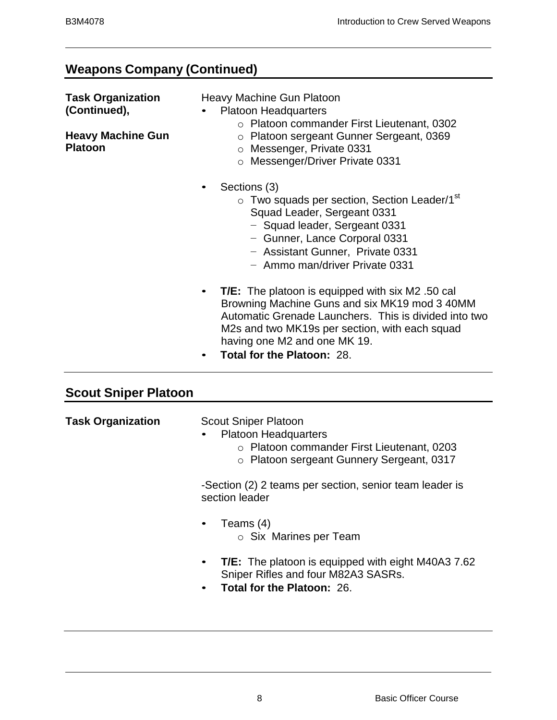# **Weapons Company (Continued)**

| <b>Task Organization</b><br>(Continued),<br><b>Heavy Machine Gun</b><br><b>Platoon</b> | Heavy Machine Gun Platoon<br><b>Platoon Headquarters</b><br>○ Platoon commander First Lieutenant, 0302<br>o Platoon sergeant Gunner Sergeant, 0369<br>O Messenger, Private 0331<br>o Messenger/Driver Private 0331                                                                                                 |
|----------------------------------------------------------------------------------------|--------------------------------------------------------------------------------------------------------------------------------------------------------------------------------------------------------------------------------------------------------------------------------------------------------------------|
|                                                                                        | Sections (3)<br>$\bullet$<br>○ Two squads per section, Section Leader/1 <sup>st</sup><br>Squad Leader, Sergeant 0331<br>- Squad leader, Sergeant 0331<br>- Gunner, Lance Corporal 0331<br>- Assistant Gunner, Private 0331<br>- Ammo man/driver Private 0331                                                       |
|                                                                                        | <b>T/E:</b> The platoon is equipped with six M2 .50 cal<br>$\bullet$<br>Browning Machine Guns and six MK19 mod 3 40MM<br>Automatic Grenade Launchers. This is divided into two<br>M2s and two MK19s per section, with each squad<br>having one M2 and one MK 19.<br><b>Total for the Platoon: 28.</b><br>$\bullet$ |

# **Scout Sniper Platoon**

| <b>Task Organization</b> | <b>Scout Sniper Platoon</b><br><b>Platoon Headquarters</b><br>$\bullet$<br>○ Platoon commander First Lieutenant, 0203<br>o Platoon sergeant Gunnery Sergeant, 0317 |
|--------------------------|--------------------------------------------------------------------------------------------------------------------------------------------------------------------|
|                          | -Section (2) 2 teams per section, senior team leader is<br>section leader                                                                                          |
|                          | Teams (4)<br>$\bullet$<br>$\circ$ Six Marines per Team                                                                                                             |
|                          | <b>T/E:</b> The platoon is equipped with eight M40A3 7.62<br>$\bullet$<br>Sniper Rifles and four M82A3 SASRs.<br><b>Total for the Platoon: 26.</b><br>$\bullet$    |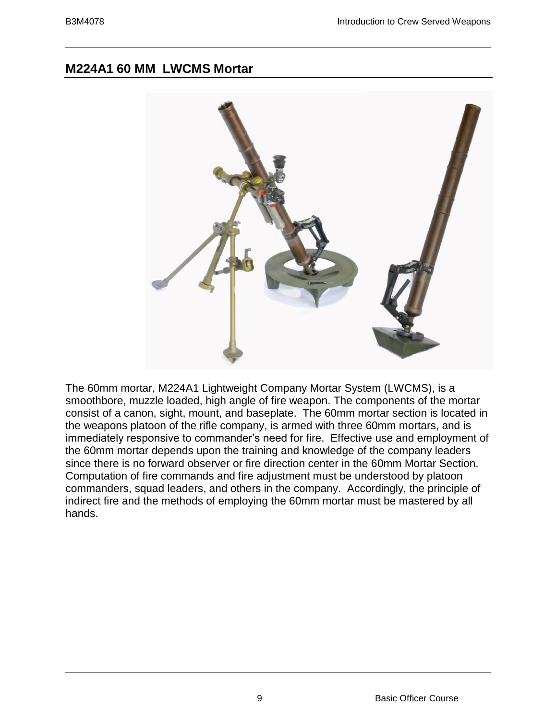# **M224A1 60 MM LWCMS Mortar**



The 60mm mortar, M224A1 Lightweight Company Mortar System (LWCMS), is a smoothbore, muzzle loaded, high angle of fire weapon. The components of the mortar consist of a canon, sight, mount, and baseplate. The 60mm mortar section is located in the weapons platoon of the rifle company, is armed with three 60mm mortars, and is immediately responsive to commander's need for fire. Effective use and employment of the 60mm mortar depends upon the training and knowledge of the company leaders since there is no forward observer or fire direction center in the 60mm Mortar Section. Computation of fire commands and fire adjustment must be understood by platoon commanders, squad leaders, and others in the company. Accordingly, the principle of indirect fire and the methods of employing the 60mm mortar must be mastered by all hands.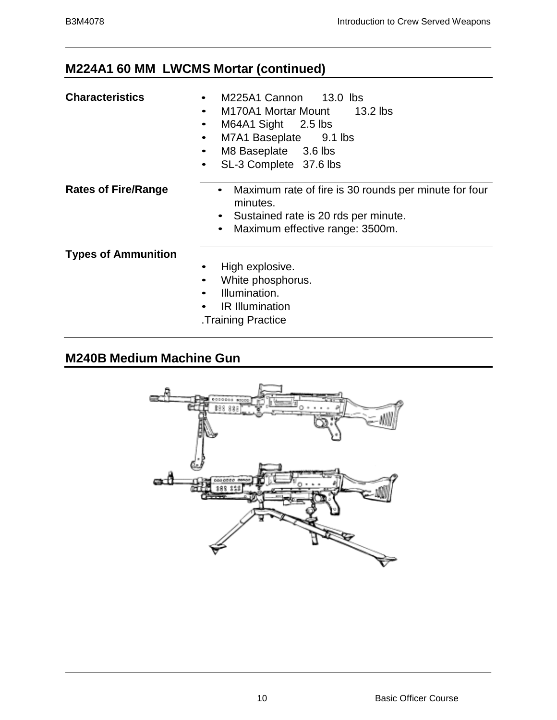# **M224A1 60 MM LWCMS Mortar (continued)**

- **M225A1 Cannon** 13.0 lbs
- M170A1 Mortar Mount 13.2 lbs
- M64A1 Sight 2.5 lbs
- M7A1 Baseplate 9.1 lbs
- M8 Baseplate 3.6 lbs
- SL-3 Complete 37.6 lbs

- **Rates of Fire/Range** Maximum rate of fire is 30 rounds per minute for four minutes.
	- Sustained rate is 20 rds per minute.
	- Maximum effective range: 3500m.

#### **Types of Ammunition**

- High explosive.
- White phosphorus.
- Illumination.
- IR Illumination
- .Training Practice

# **M240B Medium Machine Gun**

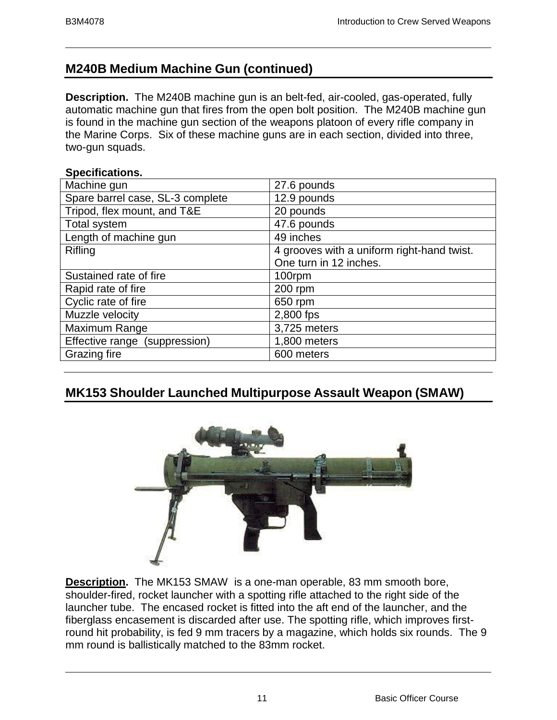# **M240B Medium Machine Gun (continued)**

**Description.** The M240B machine gun is an belt-fed, air-cooled, gas-operated, fully automatic machine gun that fires from the open bolt position. The M240B machine gun is found in the machine gun section of the weapons platoon of every rifle company in the Marine Corps. Six of these machine guns are in each section, divided into three, two-gun squads.

#### **Specifications.**

| Machine gun                      | 27.6 pounds                                |
|----------------------------------|--------------------------------------------|
| Spare barrel case, SL-3 complete | 12.9 pounds                                |
| Tripod, flex mount, and T&E      | 20 pounds                                  |
| <b>Total system</b>              | 47.6 pounds                                |
| Length of machine gun            | 49 inches                                  |
| Rifling                          | 4 grooves with a uniform right-hand twist. |
|                                  | One turn in 12 inches.                     |
| Sustained rate of fire           | 100rpm                                     |
| Rapid rate of fire               | 200 rpm                                    |
| Cyclic rate of fire              | 650 rpm                                    |
| Muzzle velocity                  | 2,800 fps                                  |
| Maximum Range                    | 3,725 meters                               |
| Effective range (suppression)    | 1,800 meters                               |
| Grazing fire                     | 600 meters                                 |

# **MK153 Shoulder Launched Multipurpose Assault Weapon (SMAW)**



**Description.** The MK153 SMAW is a one-man operable, 83 mm smooth bore, shoulder-fired, rocket launcher with a spotting rifle attached to the right side of the launcher tube. The encased rocket is fitted into the aft end of the launcher, and the fiberglass encasement is discarded after use. The spotting rifle, which improves firstround hit probability, is fed 9 mm tracers by a magazine, which holds six rounds. The 9 mm round is ballistically matched to the 83mm rocket.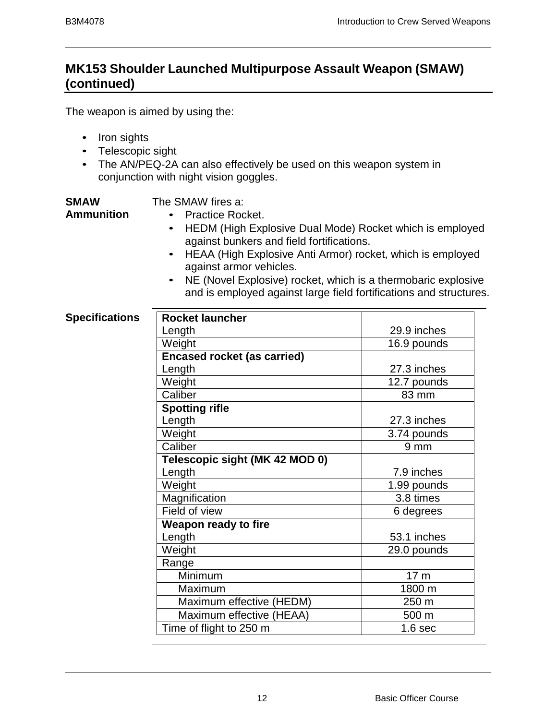# **MK153 Shoulder Launched Multipurpose Assault Weapon (SMAW) (continued)**

The weapon is aimed by using the:

- Iron sights
- Telescopic sight
- The AN/PEQ-2A can also effectively be used on this weapon system in conjunction with night vision goggles.

**SMAW Ammunition**

## The SMAW fires a:

- Practice Rocket.
	- HEDM (High Explosive Dual Mode) Rocket which is employed against bunkers and field fortifications.
	- HEAA (High Explosive Anti Armor) rocket, which is employed against armor vehicles.
	- NE (Novel Explosive) rocket, which is a thermobaric explosive and is employed against large field fortifications and structures.

### **Specifications**

| <b>Rocket launcher</b>             |                    |
|------------------------------------|--------------------|
| Length                             | 29.9 inches        |
| Weight                             | 16.9 pounds        |
| <b>Encased rocket (as carried)</b> |                    |
| Length                             | 27.3 inches        |
| Weight                             | 12.7 pounds        |
| Caliber                            | 83 mm              |
| <b>Spotting rifle</b>              |                    |
| Length                             | 27.3 inches        |
| Weight                             | 3.74 pounds        |
| Caliber                            | $9 \text{ mm}$     |
| Telescopic sight (MK 42 MOD 0)     |                    |
| Length                             | 7.9 inches         |
| Weight                             | 1.99 pounds        |
| Magnification                      | 3.8 times          |
| Field of view                      | 6 degrees          |
| <b>Weapon ready to fire</b>        |                    |
| Length                             | 53.1 inches        |
| Weight                             | 29.0 pounds        |
| Range                              |                    |
| Minimum                            | 17 <sub>m</sub>    |
| Maximum                            | 1800 m             |
| Maximum effective (HEDM)           | 250 m              |
| Maximum effective (HEAA)           | 500 m              |
| Time of flight to 250 m            | 1.6 <sub>sec</sub> |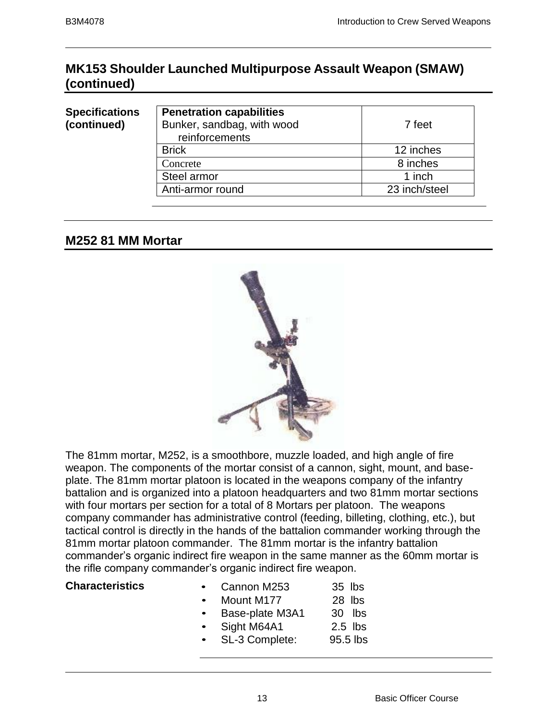# **MK153 Shoulder Launched Multipurpose Assault Weapon (SMAW) (continued)**

#### **Specifications (continued)**

| <b>Penetration capabilities</b> |               |
|---------------------------------|---------------|
| Bunker, sandbag, with wood      | 7 feet        |
| reinforcements                  |               |
| <b>Brick</b>                    | 12 inches     |
| Concrete                        | 8 inches      |
| Steel armor                     | 1 inch        |
| Anti-armor round                | 23 inch/steel |
|                                 |               |

# **M252 81 MM Mortar**



The 81mm mortar, M252, is a smoothbore, muzzle loaded, and high angle of fire weapon. The components of the mortar consist of a cannon, sight, mount, and baseplate. The 81mm mortar platoon is located in the weapons company of the infantry battalion and is organized into a platoon headquarters and two 81mm mortar sections with four mortars per section for a total of 8 Mortars per platoon. The weapons company commander has administrative control (feeding, billeting, clothing, etc.), but tactical control is directly in the hands of the battalion commander working through the 81mm mortar platoon commander. The 81mm mortar is the infantry battalion commander's organic indirect fire weapon in the same manner as the 60mm mortar is the rifle company commander's organic indirect fire weapon.

| <b>Characteristics</b> |  | Cannon M253 |  | $35$ lbs |
|------------------------|--|-------------|--|----------|
|------------------------|--|-------------|--|----------|

- Mount M177 28 lbs
- Base-plate M3A1 30 lbs
- Sight M64A1 2.5 lbs
- SL-3 Complete: 95.5 lbs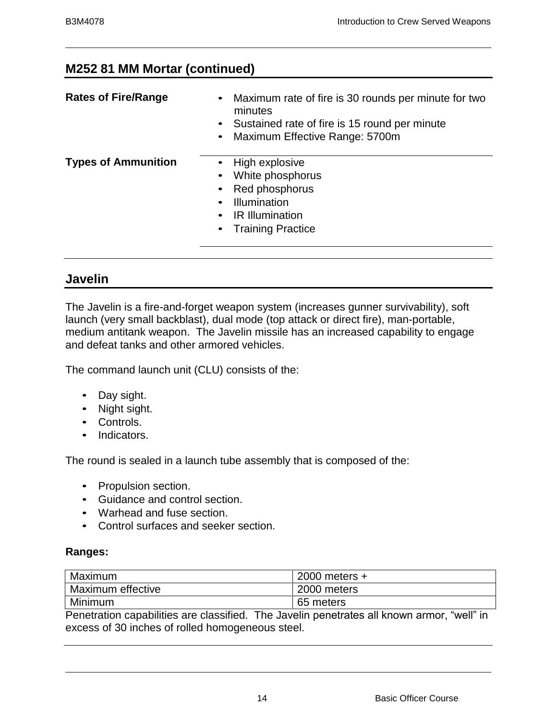# **M252 81 MM Mortar (continued)**

| <b>Rates of Fire/Range</b> | Maximum rate of fire is 30 rounds per minute for two<br>minutes<br>• Sustained rate of fire is 15 round per minute<br>• Maximum Effective Range: 5700m |
|----------------------------|--------------------------------------------------------------------------------------------------------------------------------------------------------|
| <b>Types of Ammunition</b> | High explosive<br>White phosphorus<br>• Red phosphorus<br>Illumination<br><b>IR Illumination</b><br>• Training Practice                                |

# **Javelin**

The Javelin is a fire-and-forget weapon system (increases gunner survivability), soft launch (very small backblast), dual mode (top attack or direct fire), man-portable, medium antitank weapon. The Javelin missile has an increased capability to engage and defeat tanks and other armored vehicles.

The command launch unit (CLU) consists of the:

- Day sight.
- Night sight.
- Controls.
- Indicators.

The round is sealed in a launch tube assembly that is composed of the:

- Propulsion section.
- Guidance and control section.
- Warhead and fuse section.
- Control surfaces and seeker section.

#### **Ranges:**

| Maximum                                                                                     | $2000$ meters $+$ |  |
|---------------------------------------------------------------------------------------------|-------------------|--|
| <b>Maximum effective</b>                                                                    | 2000 meters       |  |
| Minimum                                                                                     | 65 meters         |  |
| . "Howelcome concluiting one closetted . The Javalia prostrates all breaving groups "viall" |                   |  |

Penetration capabilities are classified. The Javelin penetrates all known armor, "well" in excess of 30 inches of rolled homogeneous steel.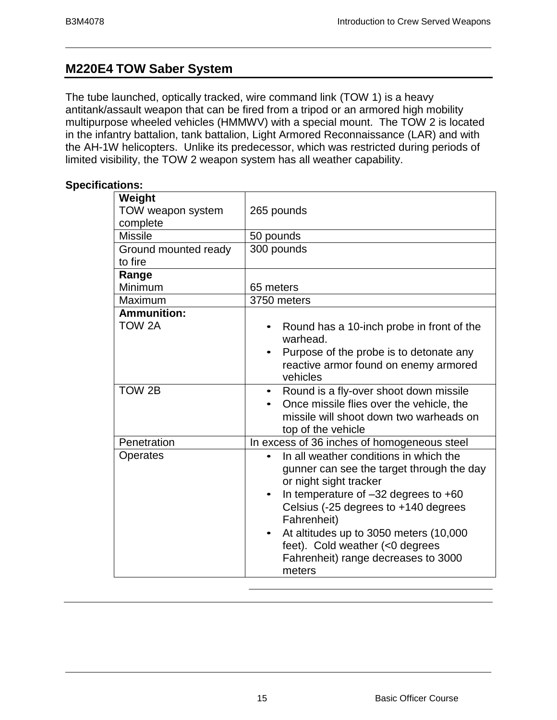# **M220E4 TOW Saber System**

The tube launched, optically tracked, wire command link (TOW 1) is a heavy antitank/assault weapon that can be fired from a tripod or an armored high mobility multipurpose wheeled vehicles (HMMWV) with a special mount. The TOW 2 is located in the infantry battalion, tank battalion, Light Armored Reconnaissance (LAR) and with the AH-1W helicopters. Unlike its predecessor, which was restricted during periods of limited visibility, the TOW 2 weapon system has all weather capability.

#### **Specifications:**

| Weight<br>TOW weapon system | 265 pounds                                                                                   |
|-----------------------------|----------------------------------------------------------------------------------------------|
| complete                    |                                                                                              |
| <b>Missile</b>              | 50 pounds                                                                                    |
| Ground mounted ready        | 300 pounds                                                                                   |
| to fire                     |                                                                                              |
| Range                       |                                                                                              |
| Minimum                     | 65 meters                                                                                    |
| Maximum                     | 3750 meters                                                                                  |
| <b>Ammunition:</b>          |                                                                                              |
| TOW 2A                      | Round has a 10-inch probe in front of the<br>warhead.                                        |
|                             | Purpose of the probe is to detonate any<br>reactive armor found on enemy armored<br>vehicles |
| TOW 2B                      | Round is a fly-over shoot down missile<br>$\bullet$                                          |
|                             | Once missile flies over the vehicle, the                                                     |
|                             | missile will shoot down two warheads on<br>top of the vehicle                                |
| Penetration                 | In excess of 36 inches of homogeneous steel                                                  |
| Operates                    | In all weather conditions in which the                                                       |
|                             | gunner can see the target through the day                                                    |
|                             | or night sight tracker                                                                       |
|                             | In temperature of $-32$ degrees to $+60$                                                     |
|                             | Celsius (-25 degrees to +140 degrees                                                         |
|                             | Fahrenheit)                                                                                  |
|                             | At altitudes up to 3050 meters (10,000                                                       |
|                             | feet). Cold weather (<0 degrees                                                              |
|                             | Fahrenheit) range decreases to 3000                                                          |
|                             | meters                                                                                       |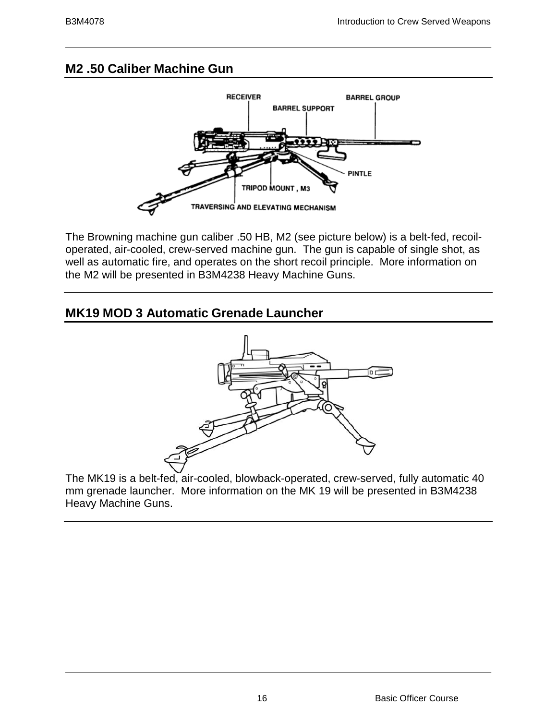# **M2 .50 Caliber Machine Gun**



The Browning machine gun caliber .50 HB, M2 (see picture below) is a belt-fed, recoiloperated, air-cooled, crew-served machine gun. The gun is capable of single shot, as well as automatic fire, and operates on the short recoil principle. More information on the M2 will be presented in B3M4238 Heavy Machine Guns.

# **MK19 MOD 3 Automatic Grenade Launcher**



The MK19 is a belt-fed, air-cooled, blowback-operated, crew-served, fully automatic 40 mm grenade launcher. More information on the MK 19 will be presented in B3M4238 Heavy Machine Guns.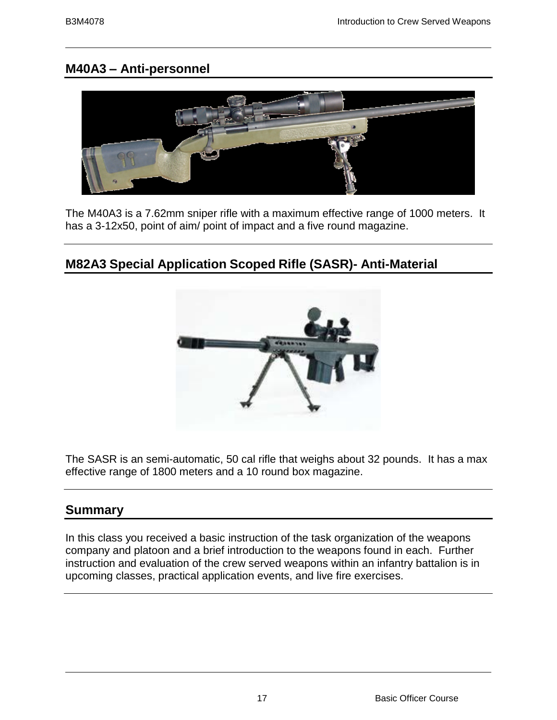# **M40A3 – Anti-personnel**



The M40A3 is a 7.62mm sniper rifle with a maximum effective range of 1000 meters. It has a 3-12x50, point of aim/ point of impact and a five round magazine.

# **M82A3 Special Application Scoped Rifle (SASR)- Anti-Material**

The SASR is an semi-automatic, 50 cal rifle that weighs about 32 pounds. It has a max effective range of 1800 meters and a 10 round box magazine.

# **Summary**

In this class you received a basic instruction of the task organization of the weapons company and platoon and a brief introduction to the weapons found in each. Further instruction and evaluation of the crew served weapons within an infantry battalion is in upcoming classes, practical application events, and live fire exercises.